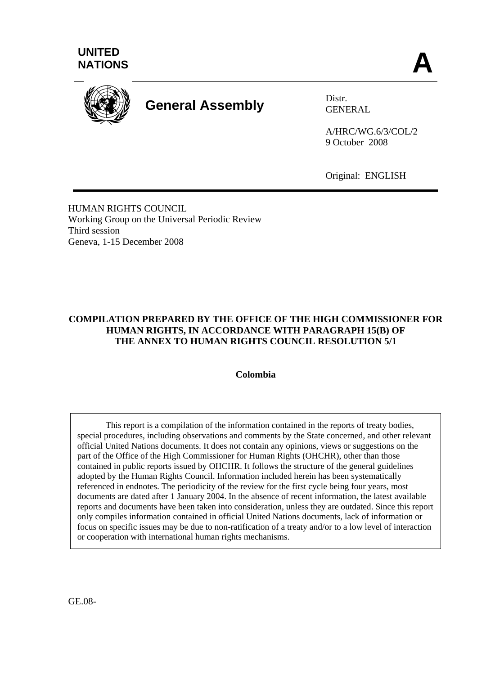



# **General Assembly** Distr.

GENERAL

A/HRC/WG.6/3/COL/2 9 October 2008

Original: ENGLISH

HUMAN RIGHTS COUNCIL Working Group on the Universal Periodic Review Third session Geneva, 1-15 December 2008

### **COMPILATION PREPARED BY THE OFFICE OF THE HIGH COMMISSIONER FOR HUMAN RIGHTS, IN ACCORDANCE WITH PARAGRAPH 15(B) OF THE ANNEX TO HUMAN RIGHTS COUNCIL RESOLUTION 5/1**

**Colombia** 

 This report is a compilation of the information contained in the reports of treaty bodies, special procedures, including observations and comments by the State concerned, and other relevant official United Nations documents. It does not contain any opinions, views or suggestions on the part of the Office of the High Commissioner for Human Rights (OHCHR), other than those contained in public reports issued by OHCHR. It follows the structure of the general guidelines adopted by the Human Rights Council. Information included herein has been systematically referenced in endnotes. The periodicity of the review for the first cycle being four years, most documents are dated after 1 January 2004. In the absence of recent information, the latest available reports and documents have been taken into consideration, unless they are outdated. Since this report only compiles information contained in official United Nations documents, lack of information or focus on specific issues may be due to non-ratification of a treaty and/or to a low level of interaction or cooperation with international human rights mechanisms.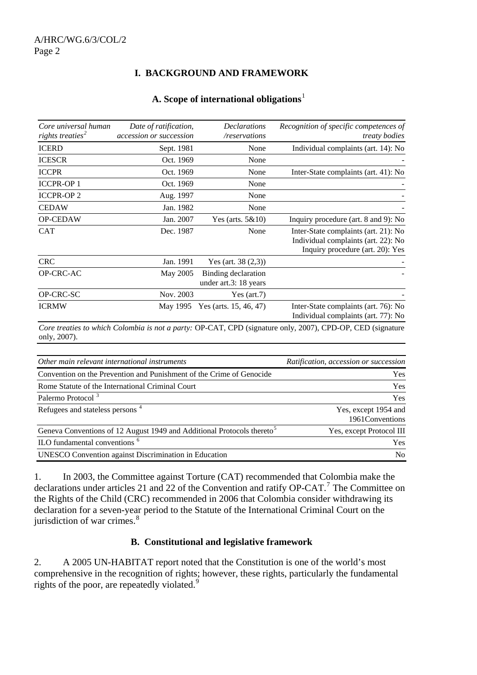### **I. BACKGROUND AND FRAMEWORK**

#### **A. Scope of international obligations**[1](#page-16-0)

| Core universal human<br>rights treaties <sup>2</sup> | Date of ratification,<br><i>accession or succession</i> | <i>Declarations</i><br>/reservations         | Recognition of specific competences of<br><i>treaty bodies</i>                                                  |
|------------------------------------------------------|---------------------------------------------------------|----------------------------------------------|-----------------------------------------------------------------------------------------------------------------|
| <b>ICERD</b>                                         | Sept. 1981                                              | None                                         | Individual complaints (art. 14): No                                                                             |
| <b>ICESCR</b>                                        | Oct. 1969                                               | None                                         |                                                                                                                 |
| <b>ICCPR</b>                                         | Oct. 1969                                               | None                                         | Inter-State complaints (art. 41): No                                                                            |
| <b>ICCPR-OP1</b>                                     | Oct. 1969                                               | None                                         |                                                                                                                 |
| <b>ICCPR-OP2</b>                                     | Aug. 1997                                               | None                                         |                                                                                                                 |
| <b>CEDAW</b>                                         | Jan. 1982                                               | None                                         |                                                                                                                 |
| <b>OP-CEDAW</b>                                      | Jan. 2007                                               | Yes (arts. $5&10$ )                          | Inquiry procedure (art. 8 and 9): No                                                                            |
| <b>CAT</b>                                           | Dec. 1987                                               | None                                         | Inter-State complaints (art. 21): No<br>Individual complaints (art. 22): No<br>Inquiry procedure (art. 20): Yes |
| <b>CRC</b>                                           | Jan. 1991                                               | Yes (art. $38(2,3)$ )                        |                                                                                                                 |
| OP-CRC-AC                                            | May 2005                                                | Binding declaration<br>under art.3: 18 years |                                                                                                                 |
| OP-CRC-SC                                            | Nov. 2003                                               | Yes (art.7)                                  |                                                                                                                 |
| <b>ICRMW</b>                                         | May 1995                                                | Yes (arts. $15, 46, 47$ )                    | Inter-State complaints (art. 76): No<br>Individual complaints (art. 77): No                                     |

*Core treaties to which Colombia is not a party:* OP-CAT, CPD (signature only, 2007), CPD-OP, CED (signature only, 2007).

| Other main relevant international instruments                                      | Ratification, accession or succession    |
|------------------------------------------------------------------------------------|------------------------------------------|
| Convention on the Prevention and Punishment of the Crime of Genocide               | Yes                                      |
| Rome Statute of the International Criminal Court                                   | <b>Yes</b>                               |
| Palermo Protocol <sup>3</sup>                                                      | <b>Yes</b>                               |
| Refugees and stateless persons <sup>4</sup>                                        | Yes, except 1954 and<br>1961 Conventions |
| Geneva Conventions of 12 August 1949 and Additional Protocols thereto <sup>5</sup> | Yes, except Protocol III                 |
| ILO fundamental conventions <sup>6</sup>                                           | <b>Yes</b>                               |
| <b>UNESCO</b> Convention against Discrimination in Education                       | N <sub>0</sub>                           |

1. In 2003, the Committee against Torture (CAT) recommended that Colombia make the declarations under articles 21 and 22 of the Convention and ratify OP-CAT.<sup>[7](#page-16-1)</sup> The Committee on the Rights of the Child (CRC) recommended in 2006 that Colombia consider withdrawing its declaration for a seven-year period to the Statute of the International Criminal Court on the jurisdiction of war crimes.<sup>[8](#page-16-1)</sup>

### **B. Constitutional and legislative framework**

2. A 2005 UN-HABITAT report noted that the Constitution is one of the world's most comprehensive in the recognition of rights; however, these rights, particularly the fundamental rights of the poor, are repeatedly violated.<sup>[9](#page-16-1)</sup>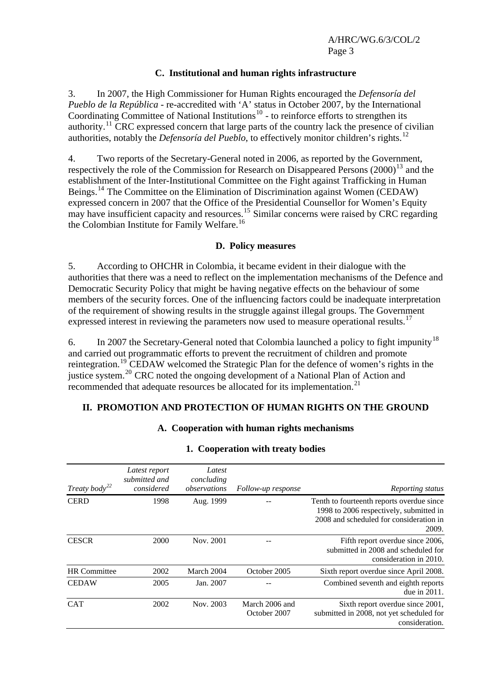#### **C. Institutional and human rights infrastructure**

3. In 2007, the High Commissioner for Human Rights encouraged the *Defensoría del Pueblo de la República* - re-accredited with 'A' status in October 2007, by the International Coordinating Committee of National Institutions<sup>[10](#page-16-1)</sup> - to reinforce efforts to strengthen its authority.<sup>[11](#page-16-1)</sup> CRC expressed concern that large parts of the country lack the presence of civilian authorities, notably the *Defensoría del Pueblo*, to effectively monitor children's rights.<sup>[12](#page-16-1)</sup>

4. Two reports of the Secretary-General noted in 2006, as reported by the Government, respectively the role of the Commission for Research on Disappeared Persons  $(2000)^{13}$  $(2000)^{13}$  $(2000)^{13}$  and the establishment of the Inter-Institutional Committee on the Fight against Trafficking in Human Beings.<sup>[14](#page-16-1)</sup> The Committee on the Elimination of Discrimination against Women (CEDAW) expressed concern in 2007 that the Office of the Presidential Counsellor for Women's Equity may have insufficient capacity and resources.<sup>[15](#page-16-1)</sup> Similar concerns were raised by CRC regarding the Colombian Institute for Family Welfare.[16](#page-16-1)

#### **D. Policy measures**

5. According to OHCHR in Colombia, it became evident in their dialogue with the authorities that there was a need to reflect on the implementation mechanisms of the Defence and Democratic Security Policy that might be having negative effects on the behaviour of some members of the security forces. One of the influencing factors could be inadequate interpretation of the requirement of showing results in the struggle against illegal groups. The Government expressed interest in reviewing the parameters now used to measure operational results.<sup>[17](#page-16-1)</sup>

6. In 2007 the Secretary-General noted that Colombia launched a policy to fight impunity<sup>[18](#page-16-1)</sup> and carried out programmatic efforts to prevent the recruitment of children and promote reintegration.<sup>[19](#page-16-1)</sup> CEDAW welcomed the Strategic Plan for the defence of women's rights in the justice system.<sup>[20](#page-16-1)</sup> CRC noted the ongoing development of a National Plan of Action and recommended that adequate resources be allocated for its implementation.<sup>[21](#page-16-1)</sup>

#### **II. PROMOTION AND PROTECTION OF HUMAN RIGHTS ON THE GROUND**

#### **A. Cooperation with human rights mechanisms**

| Treaty body <sup>22</sup> | Latest report<br>submitted and<br>considered | Latest<br>concluding<br>observations | Follow-up response             | Reporting status                                                                                                                          |
|---------------------------|----------------------------------------------|--------------------------------------|--------------------------------|-------------------------------------------------------------------------------------------------------------------------------------------|
| <b>CERD</b>               | 1998                                         | Aug. 1999                            |                                | Tenth to fourteenth reports overdue since.<br>1998 to 2006 respectively, submitted in<br>2008 and scheduled for consideration in<br>2009. |
| <b>CESCR</b>              | 2000                                         | Nov. 2001                            |                                | Fifth report overdue since 2006,<br>submitted in 2008 and scheduled for<br>consideration in 2010.                                         |
| <b>HR</b> Committee       | 2002                                         | March 2004                           | October 2005                   | Sixth report overdue since April 2008.                                                                                                    |
| <b>CEDAW</b>              | 2005                                         | Jan. 2007                            |                                | Combined seventh and eighth reports<br>due in 2011.                                                                                       |
| <b>CAT</b>                | 2002                                         | Nov. 2003                            | March 2006 and<br>October 2007 | Sixth report overdue since 2001,<br>submitted in 2008, not yet scheduled for<br>consideration.                                            |

#### **1. Cooperation with treaty bodies**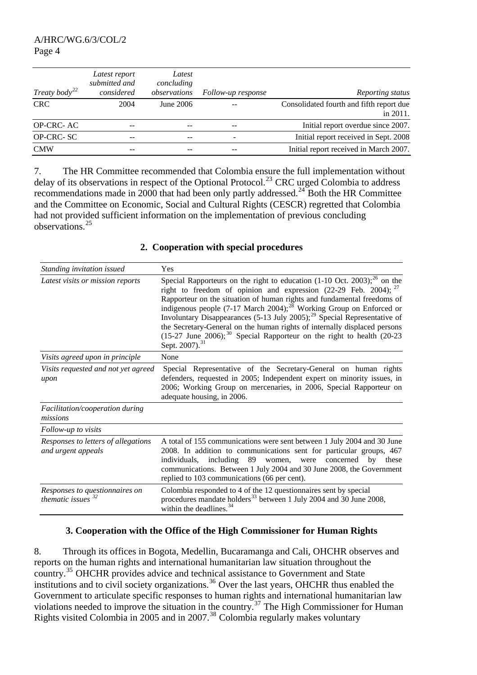| Treaty body <sup>22</sup> | Latest report<br>submitted and<br>considered | Latest<br>concluding<br>observations | Follow-up response | Reporting status                                     |
|---------------------------|----------------------------------------------|--------------------------------------|--------------------|------------------------------------------------------|
| <b>CRC</b>                | 2004                                         | June 2006                            |                    | Consolidated fourth and fifth report due<br>in 2011. |
| OP-CRC-AC                 |                                              |                                      |                    | Initial report overdue since 2007.                   |
| OP-CRC-SC                 |                                              |                                      |                    | Initial report received in Sept. 2008                |
| <b>CMW</b>                |                                              |                                      |                    | Initial report received in March 2007.               |

7. The HR Committee recommended that Colombia ensure the full implementation without delay of its observations in respect of the Optional Protocol.<sup>[23](#page-16-1)</sup> CRC urged Colombia to address recommendations made in 2000 that had been only partly addressed.<sup>[24](#page-16-1)</sup> Both the HR Committee and the Committee on Economic, Social and Cultural Rights (CESCR) regretted that Colombia had not provided sufficient information on the implementation of previous concluding observations.[25](#page-16-1)

#### *Standing invitation issued* Yes *Latest visits or mission reports* Special Rapporteurs on the right to education (1-10 Oct. 2003);<sup>[26](#page-16-1)</sup> on the right to freedom of opinion and expression (22-29 Feb. 2004);  $^{27}$  $^{27}$  $^{27}$ Rapporteur on the situation of human rights and fundamental freedoms of indigenous people  $(7-17$  March 2004);<sup>[28](#page-16-1)</sup> Working Group on Enforced or Involuntary Disappearances (5-13 July 2005);[29](#page-16-1) Special Representative of the Secretary-General on the human rights of internally displaced persons  $(15-27)$  June  $2006$ ;<sup>[30](#page-16-1)</sup> Special Rapporteur on the right to health  $(20-23)$ Sept. 2007).<sup>[31](#page-16-1)</sup> *Visits agreed upon in principle* None *Visits requested and not yet agreed upon*  Special Representative of the Secretary-General on human rights defenders, requested in 2005; Independent expert on minority issues, in 2006; Working Group on mercenaries, in 2006, Special Rapporteur on adequate housing, in 2006. *Facilitation/cooperation during missions Follow-up to visits Responses to letters of allegations and urgent appeals*  A total of 155 communications were sent between 1 July 2004 and 30 June 2008. In addition to communications sent for particular groups, 467 individuals, including 89 women, were concerned by these communications. Between 1 July 2004 and 30 June 2008, the Government replied to 103 communications (66 per cent). *Responses to questionnaires on thematic issues [32](#page-16-1)* Colombia responded to 4 of the 12 questionnaires sent by special procedures mandate holders<sup>[33](#page-16-1)</sup> between 1 July 2004 and 30 June 2008, within the deadlines.<sup>[34](#page-16-1)</sup>

### **2. Cooperation with special procedures**

#### **3. Cooperation with the Office of the High Commissioner for Human Rights**

8. Through its offices in Bogota, Medellin, Bucaramanga and Cali, OHCHR observes and reports on the human rights and international humanitarian law situation throughout the country.[35](#page-16-1) OHCHR provides advice and technical assistance to Government and State institutions and to civil society organizations.<sup>[36](#page-16-1)</sup> Over the last years, OHCHR thus enabled the Government to articulate specific responses to human rights and international humanitarian law violations needed to improve the situation in the country.<sup>[37](#page-16-1)</sup> The High Commissioner for Human Rights visited Colombia in 2005 and in 2007.<sup>[38](#page-16-1)</sup> Colombia regularly makes voluntary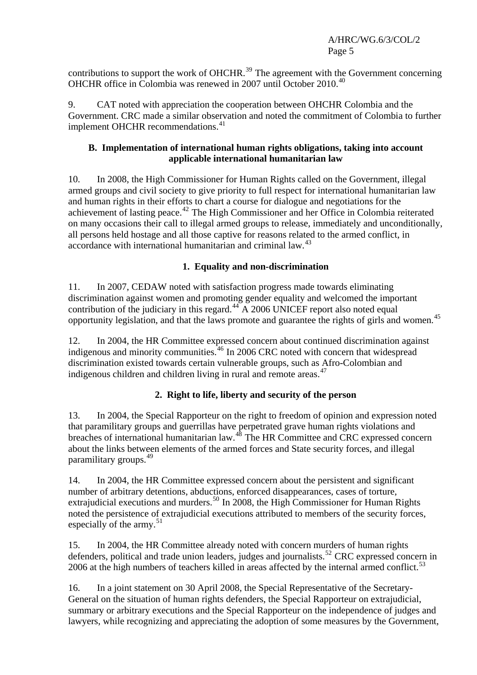contributions to support the work of OHCHR.<sup>[39](#page-16-1)</sup> The agreement with the Government concerning OHCHR office in Colombia was renewed in 2007 until October 2010.[40](#page-16-1)

9. CAT noted with appreciation the cooperation between OHCHR Colombia and the Government. CRC made a similar observation and noted the commitment of Colombia to further implement OHCHR recommendations.<sup>[41](#page-16-1)</sup>

### **B. Implementation of international human rights obligations, taking into account applicable international humanitarian law**

10. In 2008, the High Commissioner for Human Rights called on the Government, illegal armed groups and civil society to give priority to full respect for international humanitarian law and human rights in their efforts to chart a course for dialogue and negotiations for the achievement of lasting peace.[42](#page-16-1) The High Commissioner and her Office in Colombia reiterated on many occasions their call to illegal armed groups to release, immediately and unconditionally, all persons held hostage and all those captive for reasons related to the armed conflict, in accordance with international humanitarian and criminal law.<sup>[43](#page-16-1)</sup>

### **1. Equality and non-discrimination**

11. In 2007, CEDAW noted with satisfaction progress made towards eliminating discrimination against women and promoting gender equality and welcomed the important contribution of the judiciary in this regard. $44\overline{A}$  $44\overline{A}$  2006 UNICEF report also noted equal opportunity legislation, and that the laws promote and guarantee the rights of girls and women.[45](#page-16-1)

12. In 2004, the HR Committee expressed concern about continued discrimination against indigenous and minority communities.[46](#page-16-1) In 2006 CRC noted with concern that widespread discrimination existed towards certain vulnerable groups, such as Afro-Colombian and indigenous children and children living in rural and remote areas. $47$ 

## **2. Right to life, liberty and security of the person**

13. In 2004, the Special Rapporteur on the right to freedom of opinion and expression noted that paramilitary groups and guerrillas have perpetrated grave human rights violations and breaches of international humanitarian law.<sup>[48](#page-16-1)</sup> The HR Committee and CRC expressed concern about the links between elements of the armed forces and State security forces, and illegal paramilitary groups.[49](#page-16-1)

14. In 2004, the HR Committee expressed concern about the persistent and significant number of arbitrary detentions, abductions, enforced disappearances, cases of torture, extrajudicial executions and murders.<sup>[50](#page-16-1)</sup> In 2008, the High Commissioner for Human Rights noted the persistence of extrajudicial executions attributed to members of the security forces, especially of the army.<sup>[51](#page-16-1)</sup>

15. In 2004, the HR Committee already noted with concern murders of human rights defenders, political and trade union leaders, judges and journalists.<sup>[52](#page-16-1)</sup> CRC expressed concern in 2006 at the high numbers of teachers killed in areas affected by the internal armed conflict.<sup>[53](#page-16-1)</sup>

16. In a joint statement on 30 April 2008, the Special Representative of the Secretary-General on the situation of human rights defenders, the Special Rapporteur on extrajudicial, summary or arbitrary executions and the Special Rapporteur on the independence of judges and lawyers, while recognizing and appreciating the adoption of some measures by the Government,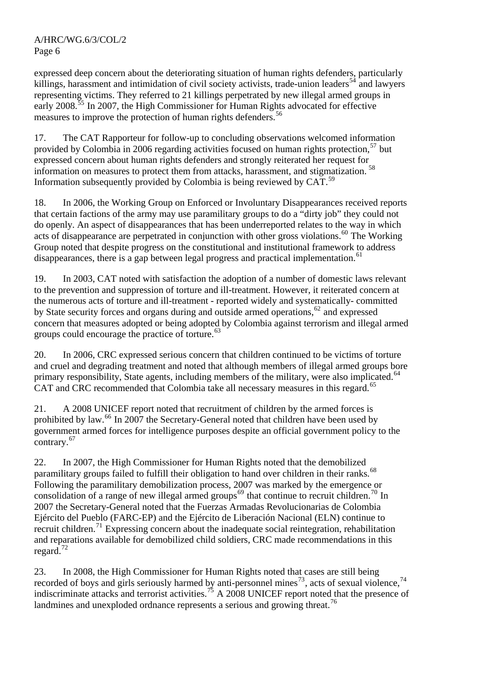expressed deep concern about the deteriorating situation of human rights defenders, particularly killings, harassment and intimidation of civil society activists, trade-union leaders<sup>[54](#page-16-1)</sup> and lawyers representing victims. They referred to 21 killings perpetrated by new illegal armed groups in early 2008<sup>[55](#page-16-1)</sup> In 2007, the High Commissioner for Human Rights advocated for effective measures to improve the protection of human rights defenders.<sup>[56](#page-16-1)</sup>

17. The CAT Rapporteur for follow-up to concluding observations welcomed information provided by Colombia in 2006 regarding activities focused on human rights protection,  $57$  but expressed concern about human rights defenders and strongly reiterated her request for information on measures to protect them from attacks, harassment, and stigmatization.<sup>[58](#page-16-1)</sup> Information subsequently provided by Colombia is being reviewed by CAT.<sup>[59](#page-16-1)</sup>

18. In 2006, the Working Group on Enforced or Involuntary Disappearances received reports that certain factions of the army may use paramilitary groups to do a "dirty job" they could not do openly. An aspect of disappearances that has been underreported relates to the way in which acts of disappearance are perpetrated in conjunction with other gross violations.<sup>[60](#page-16-1)</sup> The Working Group noted that despite progress on the constitutional and institutional framework to address disappearances, there is a gap between legal progress and practical implementation.<sup>[61](#page-16-1)</sup>

19. In 2003, CAT noted with satisfaction the adoption of a number of domestic laws relevant to the prevention and suppression of torture and ill-treatment. However, it reiterated concern at the numerous acts of torture and ill-treatment - reported widely and systematically- committed by State security forces and organs during and outside armed operations,<sup>[62](#page-16-1)</sup> and expressed concern that measures adopted or being adopted by Colombia against terrorism and illegal armed groups could encourage the practice of torture.<sup>[63](#page-16-1)</sup>

20. In 2006, CRC expressed serious concern that children continued to be victims of torture and cruel and degrading treatment and noted that although members of illegal armed groups bore primary responsibility, State agents, including members of the military, were also implicated.<sup>[64](#page-16-1)</sup> CAT and CRC recommended that Colombia take all necessary measures in this regard.<sup>[65](#page-16-1)</sup>

21. A 2008 UNICEF report noted that recruitment of children by the armed forces is prohibited by law.[66](#page-16-1) In 2007 the Secretary-General noted that children have been used by government armed forces for intelligence purposes despite an official government policy to the contrary.<sup>[67](#page-16-1)</sup>

22. In 2007, the High Commissioner for Human Rights noted that the demobilized paramilitary groups failed to fulfill their obligation to hand over children in their ranks.<sup>[68](#page-16-1)</sup> Following the paramilitary demobilization process, 2007 was marked by the emergence or consolidation of a range of new illegal armed groups<sup>[69](#page-16-1)</sup> that continue to recruit children.<sup>[70](#page-16-1)</sup> In 2007 the Secretary-General noted that the Fuerzas Armadas Revolucionarias de Colombia Ejército del Pueblo (FARC-EP) and the Ejército de Liberación Nacional (ELN) continue to recruit children.<sup>[71](#page-16-1)</sup> Expressing concern about the inadequate social reintegration, rehabilitation and reparations available for demobilized child soldiers, CRC made recommendations in this regard.<sup>[72](#page-16-1)</sup>

23. In 2008, the High Commissioner for Human Rights noted that cases are still being recorded of boys and girls seriously harmed by anti-personnel mines<sup>[73](#page-16-1)</sup>, acts of sexual violence,<sup>[74](#page-16-1)</sup> indiscriminate attacks and terrorist activities.<sup>[75](#page-16-1)</sup> A 2008 UNICEF report noted that the presence of landmines and unexploded ordnance represents a serious and growing threat.<sup>[76](#page-16-1)</sup>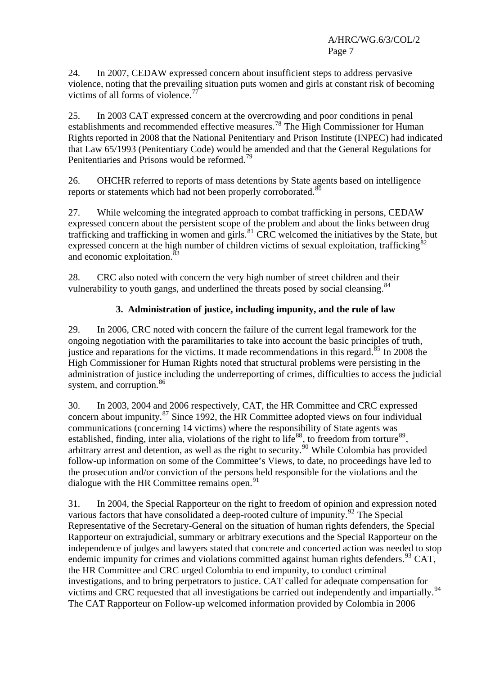24. In 2007, CEDAW expressed concern about insufficient steps to address pervasive violence, noting that the prevailing situation puts women and girls at constant risk of becoming victims of all forms of violence.<sup>[77](#page-16-1)</sup>

25. In 2003 CAT expressed concern at the overcrowding and poor conditions in penal establishments and recommended effective measures.<sup>[78](#page-16-1)</sup> The High Commissioner for Human Rights reported in 2008 that the National Penitentiary and Prison Institute (INPEC) had indicated that Law 65/1993 (Penitentiary Code) would be amended and that the General Regulations for Penitentiaries and Prisons would be reformed.<sup>[79](#page-16-1)</sup>

26. OHCHR referred to reports of mass detentions by State agents based on intelligence reports or statements which had not been properly corroborated.<sup>[80](#page-16-1)</sup>

27. While welcoming the integrated approach to combat trafficking in persons, CEDAW expressed concern about the persistent scope of the problem and about the links between drug trafficking and trafficking in women and girls.<sup>[81](#page-16-1)</sup> CRC welcomed the initiatives by the State, but expressed concern at the high number of children victims of sexual exploitation, trafficking<sup>8</sup> and economic exploitation.<sup>[83](#page-16-1)</sup>

28. CRC also noted with concern the very high number of street children and their vulnerability to youth gangs, and underlined the threats posed by social cleansing.<sup>[84](#page-16-1)</sup>

### **3. Administration of justice, including impunity, and the rule of law**

29. In 2006, CRC noted with concern the failure of the current legal framework for the ongoing negotiation with the paramilitaries to take into account the basic principles of truth, justice and reparations for the victims. It made recommendations in this regard. $85$  In 2008 the High Commissioner for Human Rights noted that structural problems were persisting in the administration of justice including the underreporting of crimes, difficulties to access the judicial system, and corruption.<sup>[86](#page-16-1)</sup>

30. In 2003, 2004 and 2006 respectively, CAT, the HR Committee and CRC expressed concern about impunity. $^{87}$  $^{87}$  $^{87}$  Since 1992, the HR Committee adopted views on four individual communications (concerning 14 victims) where the responsibility of State agents was established, finding, inter alia, violations of the right to life<sup>[88](#page-16-1)</sup>, to freedom from torture<sup>[89](#page-16-1)</sup>, arbitrary arrest and detention, as well as the right to security.<sup>[90](#page-16-1)</sup> While Colombia has provided follow-up information on some of the Committee's Views, to date, no proceedings have led to the prosecution and/or conviction of the persons held responsible for the violations and the dialogue with the HR Committee remains open.  $91$ 

31. In 2004, the Special Rapporteur on the right to freedom of opinion and expression noted various factors that have consolidated a deep-rooted culture of impunity.<sup>[92](#page-16-1)</sup> The Special Representative of the Secretary-General on the situation of human rights defenders, the Special Rapporteur on extrajudicial, summary or arbitrary executions and the Special Rapporteur on the independence of judges and lawyers stated that concrete and concerted action was needed to stop endemic impunity for crimes and violations committed against human rights defenders.<sup>[93](#page-16-1)</sup> CAT, the HR Committee and CRC urged Colombia to end impunity, to conduct criminal investigations, and to bring perpetrators to justice. CAT called for adequate compensation for victims and CRC requested that all investigations be carried out independently and impartially.<sup>[94](#page-16-1)</sup> The CAT Rapporteur on Follow-up welcomed information provided by Colombia in 2006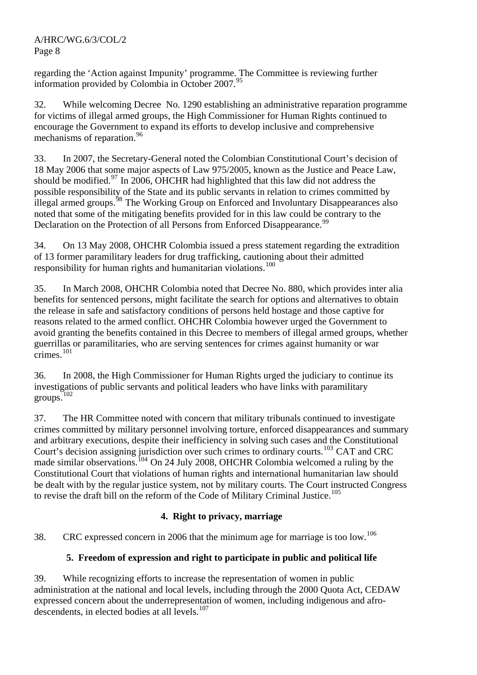regarding the 'Action against Impunity' programme. The Committee is reviewing further information provided by Colombia in October  $2007.<sup>95</sup>$  $2007.<sup>95</sup>$  $2007.<sup>95</sup>$ 

32. While welcoming Decree No. 1290 establishing an administrative reparation programme for victims of illegal armed groups, the High Commissioner for Human Rights continued to encourage the Government to expand its efforts to develop inclusive and comprehensive mechanisms of reparation.<sup>[96](#page-16-1)</sup>

33. In 2007, the Secretary-General noted the Colombian Constitutional Court's decision of 18 May 2006 that some major aspects of Law 975/2005, known as the Justice and Peace Law, should be modified.[97](#page-16-1) In 2006, OHCHR had highlighted that this law did not address the possible responsibility of the State and its public servants in relation to crimes committed by illegal armed groups.<sup>[98](#page-16-1)</sup> The Working Group on Enforced and Involuntary Disappearances also noted that some of the mitigating benefits provided for in this law could be contrary to the Declaration on the Protection of all Persons from Enforced Disappearance.<sup>[99](#page-16-1)</sup>

34. On 13 May 2008, OHCHR Colombia issued a press statement regarding the extradition of 13 former paramilitary leaders for drug trafficking, cautioning about their admitted responsibility for human rights and humanitarian violations.<sup>[100](#page-16-1)</sup>

35. In March 2008, OHCHR Colombia noted that Decree No. 880, which provides inter alia benefits for sentenced persons, might facilitate the search for options and alternatives to obtain the release in safe and satisfactory conditions of persons held hostage and those captive for reasons related to the armed conflict. OHCHR Colombia however urged the Government to avoid granting the benefits contained in this Decree to members of illegal armed groups, whether guerrillas or paramilitaries, who are serving sentences for crimes against humanity or war crimes.<sup>[101](#page-16-1)</sup>

36. In 2008, the High Commissioner for Human Rights urged the judiciary to continue its investigations of public servants and political leaders who have links with paramilitary groups.<sup>[102](#page-16-1)</sup>

37. The HR Committee noted with concern that military tribunals continued to investigate crimes committed by military personnel involving torture, enforced disappearances and summary and arbitrary executions, despite their inefficiency in solving such cases and the Constitutional Court's decision assigning jurisdiction over such crimes to ordinary courts.<sup>[103](#page-16-1)</sup> CAT and CRC made similar observations.<sup>[104](#page-16-1)</sup> On 24 July 2008, OHCHR Colombia welcomed a ruling by the Constitutional Court that violations of human rights and international humanitarian law should be dealt with by the regular justice system, not by military courts. The Court instructed Congress to revise the draft bill on the reform of the Code of Military Criminal Justice.<sup>[105](#page-16-1)</sup>

## **4. Right to privacy, marriage**

38. CRC expressed concern in 2006 that the minimum age for marriage is too low.<sup>[106](#page-16-1)</sup>

## **5. Freedom of expression and right to participate in public and political life**

39. While recognizing efforts to increase the representation of women in public administration at the national and local levels, including through the 2000 Quota Act, CEDAW expressed concern about the underrepresentation of women, including indigenous and afrodescendents, in elected bodies at all  $levels<sup>107</sup>$  $levels<sup>107</sup>$  $levels<sup>107</sup>$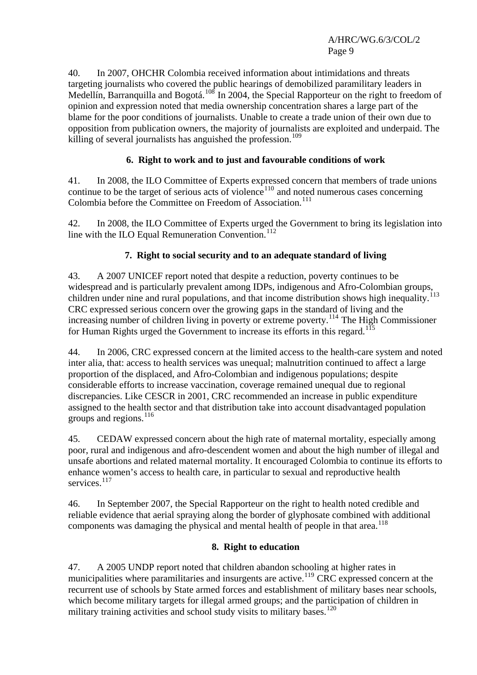40. In 2007, OHCHR Colombia received information about intimidations and threats targeting journalists who covered the public hearings of demobilized paramilitary leaders in Medellín, Barranquilla and Bogotá.<sup>[108](#page-16-1)</sup> In 2004, the Special Rapporteur on the right to freedom of opinion and expression noted that media ownership concentration shares a large part of the blame for the poor conditions of journalists. Unable to create a trade union of their own due to opposition from publication owners, the majority of journalists are exploited and underpaid. The killing of several journalists has anguished the profession.<sup>[109](#page-16-1)</sup>

### **6. Right to work and to just and favourable conditions of work**

41. In 2008, the ILO Committee of Experts expressed concern that members of trade unions continue to be the target of serious acts of violence<sup>[110](#page-16-1)</sup> and noted numerous cases concerning Colombia before the Committee on Freedom of Association.<sup>[111](#page-16-1)</sup>

42. In 2008, the ILO Committee of Experts urged the Government to bring its legislation into line with the ILO Equal Remuneration Convention.<sup>[112](#page-16-1)</sup>

### **7. Right to social security and to an adequate standard of living**

43. A 2007 UNICEF report noted that despite a reduction, poverty continues to be widespread and is particularly prevalent among IDPs, indigenous and Afro-Colombian groups, children under nine and rural populations, and that income distribution shows high inequality. CRC expressed serious concern over the growing gaps in the standard of living and the increasing number of children living in poverty or extreme poverty.<sup>[114](#page-16-1)</sup> The High Commissioner for Human Rights urged the Government to increase its efforts in this regard.<sup>[115](#page-16-1)</sup>

44. In 2006, CRC expressed concern at the limited access to the health-care system and noted inter alia, that: access to health services was unequal; malnutrition continued to affect a large proportion of the displaced, and Afro-Colombian and indigenous populations; despite considerable efforts to increase vaccination, coverage remained unequal due to regional discrepancies. Like CESCR in 2001, CRC recommended an increase in public expenditure assigned to the health sector and that distribution take into account disadvantaged population groups and regions.[116](#page-16-1)

45. CEDAW expressed concern about the high rate of maternal mortality, especially among poor, rural and indigenous and afro-descendent women and about the high number of illegal and unsafe abortions and related maternal mortality. It encouraged Colombia to continue its efforts to enhance women's access to health care, in particular to sexual and reproductive health services<sup>[117](#page-16-1)</sup>

46. In September 2007, the Special Rapporteur on the right to health noted credible and reliable evidence that aerial spraying along the border of glyphosate combined with additional components was damaging the physical and mental health of people in that area.<sup>[118](#page-16-1)</sup>

### **8. Right to education**

47. A 2005 UNDP report noted that children abandon schooling at higher rates in municipalities where paramilitaries and insurgents are active.<sup>[119](#page-16-1)</sup> CRC expressed concern at the recurrent use of schools by State armed forces and establishment of military bases near schools, which become military targets for illegal armed groups; and the participation of children in military training activities and school study visits to military bases.<sup>[120](#page-16-1)</sup>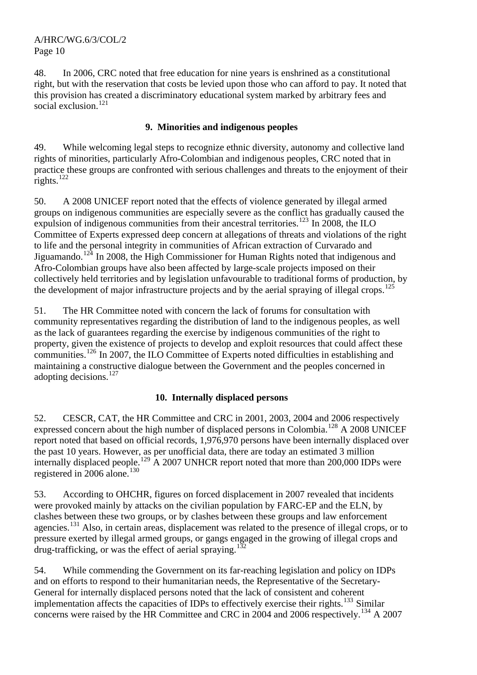48. In 2006, CRC noted that free education for nine years is enshrined as a constitutional right, but with the reservation that costs be levied upon those who can afford to pay. It noted that this provision has created a discriminatory educational system marked by arbitrary fees and social exclusion.<sup>[121](#page-16-1)</sup>

### **9. Minorities and indigenous peoples**

49. While welcoming legal steps to recognize ethnic diversity, autonomy and collective land rights of minorities, particularly Afro-Colombian and indigenous peoples, CRC noted that in practice these groups are confronted with serious challenges and threats to the enjoyment of their rights. $^{122}$  $^{122}$  $^{122}$ 

50. A 2008 UNICEF report noted that the effects of violence generated by illegal armed groups on indigenous communities are especially severe as the conflict has gradually caused the expulsion of indigenous communities from their ancestral territories.<sup>[123](#page-16-1)</sup> In 2008, the ILO Committee of Experts expressed deep concern at allegations of threats and violations of the right to life and the personal integrity in communities of African extraction of Curvarado and Jiguamando.<sup>[124](#page-16-1)</sup> In 2008, the High Commissioner for Human Rights noted that indigenous and Afro-Colombian groups have also been affected by large-scale projects imposed on their collectively held territories and by legislation unfavourable to traditional forms of production, by the development of major infrastructure projects and by the aerial spraying of illegal crops.<sup>[125](#page-16-1)</sup>

51. The HR Committee noted with concern the lack of forums for consultation with community representatives regarding the distribution of land to the indigenous peoples, as well as the lack of guarantees regarding the exercise by indigenous communities of the right to property, given the existence of projects to develop and exploit resources that could affect these communities.[126](#page-16-1) In 2007, the ILO Committee of Experts noted difficulties in establishing and maintaining a constructive dialogue between the Government and the peoples concerned in adopting decisions.<sup>[127](#page-16-1)</sup>

### **10. Internally displaced persons**

52. CESCR, CAT, the HR Committee and CRC in 2001, 2003, 2004 and 2006 respectively expressed concern about the high number of displaced persons in Colombia.[128](#page-16-1) A 2008 UNICEF report noted that based on official records, 1,976,970 persons have been internally displaced over the past 10 years. However, as per unofficial data, there are today an estimated 3 million internally displaced people.<sup>[129](#page-16-1)</sup> A 2007 UNHCR report noted that more than 200,000 IDPs were registered in  $2006$  alone.<sup>[130](#page-16-1)</sup>

53. According to OHCHR, figures on forced displacement in 2007 revealed that incidents were provoked mainly by attacks on the civilian population by FARC-EP and the ELN, by clashes between these two groups, or by clashes between these groups and law enforcement agencies.<sup>[131](#page-16-1)</sup> Also, in certain areas, displacement was related to the presence of illegal crops, or to pressure exerted by illegal armed groups, or gangs engaged in the growing of illegal crops and drug-trafficking, or was the effect of aerial spraying.<sup>[132](#page-16-1)</sup>

54. While commending the Government on its far-reaching legislation and policy on IDPs and on efforts to respond to their humanitarian needs, the Representative of the Secretary-General for internally displaced persons noted that the lack of consistent and coherent implementation affects the capacities of IDPs to effectively exercise their rights.<sup>[133](#page-16-1)</sup> Similar concerns were raised by the HR Committee and CRC in 2004 and 2006 respectively.[134](#page-16-1) A 2007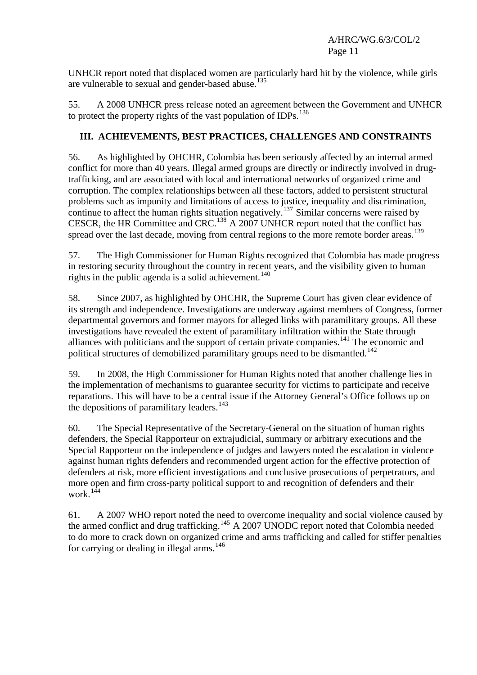UNHCR report noted that displaced women are particularly hard hit by the violence, while girls are vulnerable to sexual and gender-based abuse.<sup>[135](#page-16-1)</sup>

55. A 2008 UNHCR press release noted an agreement between the Government and UNHCR to protect the property rights of the vast population of IDPs.  $^{136}$  $^{136}$  $^{136}$ 

### **III. ACHIEVEMENTS, BEST PRACTICES, CHALLENGES AND CONSTRAINTS**

56. As highlighted by OHCHR, Colombia has been seriously affected by an internal armed conflict for more than 40 years. Illegal armed groups are directly or indirectly involved in drugtrafficking, and are associated with local and international networks of organized crime and corruption. The complex relationships between all these factors, added to persistent structural problems such as impunity and limitations of access to justice, inequality and discrimination, continue to affect the human rights situation negatively.<sup>[137](#page-16-1)</sup> Similar concerns were raised by CESCR, the HR Committee and CRC.[138](#page-16-1) A 2007 UNHCR report noted that the conflict has spread over the last decade, moving from central regions to the more remote border areas.<sup>[139](#page-16-1)</sup>

57. The High Commissioner for Human Rights recognized that Colombia has made progress in restoring security throughout the country in recent years, and the visibility given to human rights in the public agenda is a solid achievement.<sup>[140](#page-16-1)</sup>

58. Since 2007, as highlighted by OHCHR, the Supreme Court has given clear evidence of its strength and independence. Investigations are underway against members of Congress, former departmental governors and former mayors for alleged links with paramilitary groups. All these investigations have revealed the extent of paramilitary infiltration within the State through alliances with politicians and the support of certain private companies.<sup>[141](#page-16-1)</sup> The economic and political structures of demobilized paramilitary groups need to be dismantled.<sup>[142](#page-16-1)</sup>

59. In 2008, the High Commissioner for Human Rights noted that another challenge lies in the implementation of mechanisms to guarantee security for victims to participate and receive reparations. This will have to be a central issue if the Attorney General's Office follows up on the depositions of paramilitary leaders. $143$ 

60. The Special Representative of the Secretary-General on the situation of human rights defenders, the Special Rapporteur on extrajudicial, summary or arbitrary executions and the Special Rapporteur on the independence of judges and lawyers noted the escalation in violence against human rights defenders and recommended urgent action for the effective protection of defenders at risk, more efficient investigations and conclusive prosecutions of perpetrators, and more open and firm cross-party political support to and recognition of defenders and their work.<sup>[144](#page-16-1)</sup>

61. A 2007 WHO report noted the need to overcome inequality and social violence caused by the armed conflict and drug trafficking.<sup>[145](#page-16-1)</sup> A 2007 UNODC report noted that Colombia needed to do more to crack down on organized crime and arms trafficking and called for stiffer penalties for carrying or dealing in illegal arms.<sup>[146](#page-16-1)</sup>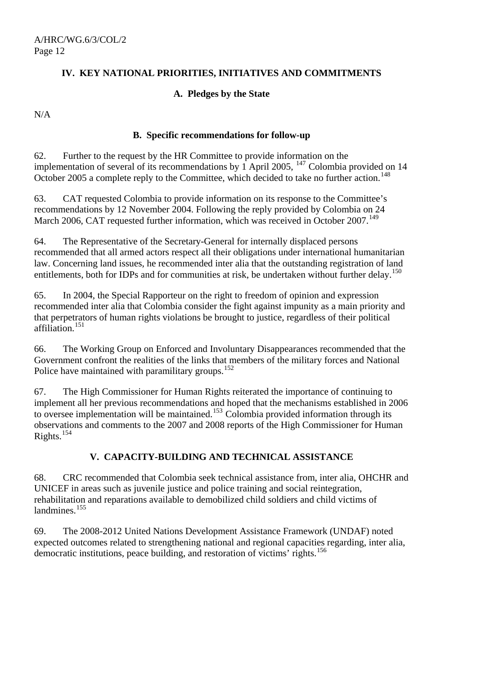### **IV. KEY NATIONAL PRIORITIES, INITIATIVES AND COMMITMENTS**

### **A. Pledges by the State**

N/A

### **B. Specific recommendations for follow-up**

62. Further to the request by the HR Committee to provide information on the implementation of several of its recommendations by  $\overline{1}$  April 2005, <sup>[147](#page-16-1)</sup> Colombia provided on 14 October 2005 a complete reply to the Committee, which decided to take no further action.<sup>[148](#page-16-1)</sup>

63. CAT requested Colombia to provide information on its response to the Committee's recommendations by 12 November 2004. Following the reply provided by Colombia on 24 March 2006, CAT requested further information, which was received in October 2007.<sup>[149](#page-16-1)</sup>

64. The Representative of the Secretary-General for internally displaced persons recommended that all armed actors respect all their obligations under international humanitarian law. Concerning land issues, he recommended inter alia that the outstanding registration of land entitlements, both for IDPs and for communities at risk, be undertaken without further delay.<sup>[150](#page-16-1)</sup>

65. In 2004, the Special Rapporteur on the right to freedom of opinion and expression recommended inter alia that Colombia consider the fight against impunity as a main priority and that perpetrators of human rights violations be brought to justice, regardless of their political affiliation.[151](#page-16-1)

66. The Working Group on Enforced and Involuntary Disappearances recommended that the Government confront the realities of the links that members of the military forces and National Police have maintained with paramilitary groups.<sup>[152](#page-16-1)</sup>

67. The High Commissioner for Human Rights reiterated the importance of continuing to implement all her previous recommendations and hoped that the mechanisms established in 2006 to oversee implementation will be maintained.<sup>[153](#page-16-1)</sup> Colombia provided information through its observations and comments to the 2007 and 2008 reports of the High Commissioner for Human Rights.<sup>[154](#page-16-1)</sup>

### **V. CAPACITY-BUILDING AND TECHNICAL ASSISTANCE**

68. CRC recommended that Colombia seek technical assistance from, inter alia, OHCHR and UNICEF in areas such as juvenile justice and police training and social reintegration, rehabilitation and reparations available to demobilized child soldiers and child victims of landmines.<sup>[155](#page-16-1)</sup>

69. The 2008-2012 United Nations Development Assistance Framework (UNDAF) noted expected outcomes related to strengthening national and regional capacities regarding, inter alia, democratic institutions, peace building, and restoration of victims' rights.<sup>[156](#page-16-1)</sup>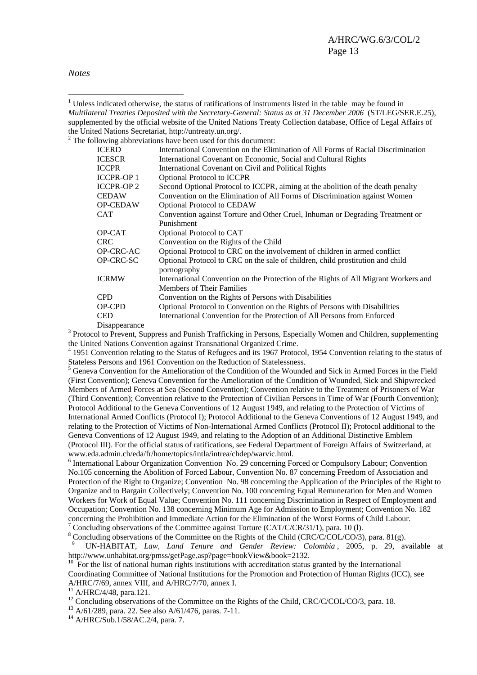*Notes* 

 $\overline{a}$ <sup>1</sup> Unless indicated otherwise, the status of ratifications of instruments listed in the table may be found in *Multilateral Treaties Deposited with the Secretary-General: Status as at 31 December 2006* (ST/LEG/SER.E.25), supplemented by the official website of the United Nations Treaty Collection database, Office of Legal Affairs of the United Nations Secretariat, http://untreaty.un.org/.

|                  | $2^2$ The following abbreviations have been used for this document:                                                     |
|------------------|-------------------------------------------------------------------------------------------------------------------------|
| <b>ICERD</b>     | International Convention on the Elimination of All Forms of Racial Discrimination                                       |
| <b>ICESCR</b>    | International Covenant on Economic, Social and Cultural Rights                                                          |
| <b>ICCPR</b>     | International Covenant on Civil and Political Rights                                                                    |
| <b>ICCPR-OP1</b> | <b>Optional Protocol to ICCPR</b>                                                                                       |
| <b>ICCPR-OP2</b> | Second Optional Protocol to ICCPR, aiming at the abolition of the death penalty                                         |
| <b>CEDAW</b>     | Convention on the Elimination of All Forms of Discrimination against Women                                              |
| <b>OP-CEDAW</b>  | <b>Optional Protocol to CEDAW</b>                                                                                       |
| <b>CAT</b>       | Convention against Torture and Other Cruel, Inhuman or Degrading Treatment or                                           |
|                  | Punishment                                                                                                              |
| OP-CAT           | Optional Protocol to CAT                                                                                                |
| <b>CRC</b>       | Convention on the Rights of the Child                                                                                   |
| OP-CRC-AC        | Optional Protocol to CRC on the involvement of children in armed conflict                                               |
| OP-CRC-SC        | Optional Protocol to CRC on the sale of children, child prostitution and child<br>pornography                           |
| <b>ICRMW</b>     | International Convention on the Protection of the Rights of All Migrant Workers and<br><b>Members of Their Families</b> |
| <b>CPD</b>       | Convention on the Rights of Persons with Disabilities                                                                   |
| OP-CPD           | Optional Protocol to Convention on the Rights of Persons with Disabilities                                              |
| <b>CED</b>       | International Convention for the Protection of All Persons from Enforced                                                |
| Disappearance    |                                                                                                                         |

Disappearance<br><sup>3</sup> Protocol to Prevent, Suppress and Punish Trafficking in Persons, Especially Women and Children, supplementing the United Nations Convention against Transnational Organized Crime.

<sup>4</sup> 1951 Convention relating to the Status of Refugees and its 1967 Protocol, 1954 Convention relating to the status of Stateless Persons and 1961 Convention on the Reduction of Statelessness.

<sup>5</sup> Geneva Convention for the Amelioration of the Condition of the Wounded and Sick in Armed Forces in the Field (First Convention); Geneva Convention for the Amelioration of the Condition of Wounded, Sick and Shipwrecked Members of Armed Forces at Sea (Second Convention); Convention relative to the Treatment of Prisoners of War (Third Convention); Convention relative to the Protection of Civilian Persons in Time of War (Fourth Convention); Protocol Additional to the Geneva Conventions of 12 August 1949, and relating to the Protection of Victims of International Armed Conflicts (Protocol I); Protocol Additional to the Geneva Conventions of 12 August 1949, and relating to the Protection of Victims of Non-International Armed Conflicts (Protocol II); Protocol additional to the Geneva Conventions of 12 August 1949, and relating to the Adoption of an Additional Distinctive Emblem (Protocol III). For the official status of ratifications, see Federal Department of Foreign Affairs of Switzerland, at www.eda.admin.ch/eda/fr/home/topics/intla/intrea/chdep/warvic.html. 6

<sup>6</sup> International Labour Organization Convention No. 29 concerning Forced or Compulsory Labour; Convention No.105 concerning the Abolition of Forced Labour, Convention No. 87 concerning Freedom of Association and Protection of the Right to Organize; Convention No. 98 concerning the Application of the Principles of the Right to Organize and to Bargain Collectively; Convention No. 100 concerning Equal Remuneration for Men and Women Workers for Work of Equal Value; Convention No. 111 concerning Discrimination in Respect of Employment and Occupation; Convention No. 138 concerning Minimum Age for Admission to Employment; Convention No. 182 concerning the Prohibition and Immediate Action for the Elimination of the Worst Forms of Child Labour. 7 Concluding observations of the Committee against Torture (CAT/C/CR/31/1), para. 10 (l).

<sup>8</sup> Concluding observations of the Committee on the Rights of the Child (CRC/C/COL/CO/3), para. 81(g).

UN-HABITAT, *Law, Land Tenure and Gender Review: Colombia* , 2005, p. 29, available at http://www.unhabitat.org/pmss/getPage.asp?page=bookView&book=2132.

<sup>10</sup> For the list of national human rights institutions with accreditation status granted by the International Coordinating Committee of National Institutions for the Promotion and Protection of Human Rights (ICC), see A/HRC/7/69, annex VIII, and A/HRC/7/70, annex I.

 $11$  A/HRC/4/48, para.121.

13 A/61/289, para. 22. See also A/61/476, paras. 7-11.

14 A/HRC/Sub.1/58/AC.2/4, para. 7.

<sup>&</sup>lt;sup>12</sup> Concluding observations of the Committee on the Rights of the Child, CRC/C/COL/CO/3, para. 18.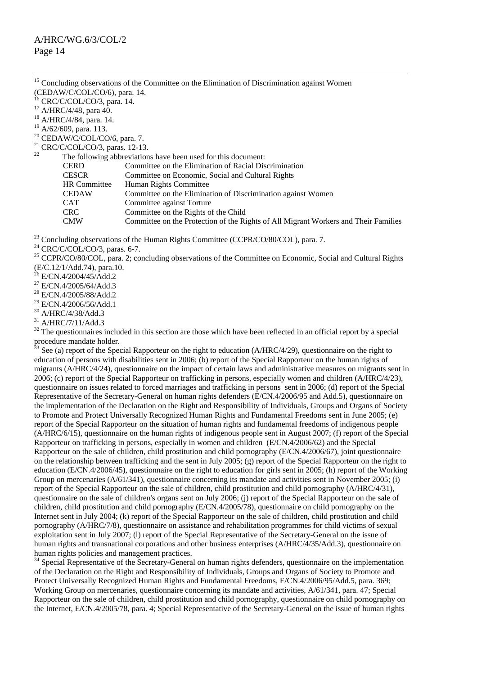|                                             | <sup>15</sup> Concluding observations of the Committee on the Elimination of Discrimination against Women |
|---------------------------------------------|-----------------------------------------------------------------------------------------------------------|
| (CEDAW/C/COL/CO/6), para. 14.               |                                                                                                           |
| $^{16}$ CRC/C/COL/CO/3, para. 14.           |                                                                                                           |
| <sup>17</sup> A/HRC/4/48, para 40.          |                                                                                                           |
| $18$ A/HRC/4/84, para. 14.                  |                                                                                                           |
| $19$ A/62/609, para. 113.                   |                                                                                                           |
| $20$ CEDAW/C/COL/CO/6, para. 7.             |                                                                                                           |
| <sup>21</sup> CRC/C/COL/CO/3, paras. 12-13. |                                                                                                           |
| 22                                          | The following abbreviations have been used for this document:                                             |
| <b>CERD</b>                                 | Committee on the Elimination of Racial Discrimination                                                     |
| <b>CESCR</b>                                | Committee on Economic, Social and Cultural Rights                                                         |
| <b>HR</b> Committee                         | Human Rights Committee                                                                                    |
| <b>CEDAW</b>                                | Committee on the Elimination of Discrimination against Women                                              |
| <b>CAT</b>                                  | Committee against Torture                                                                                 |
| <b>CRC</b>                                  | Committee on the Rights of the Child                                                                      |
| <b>CMW</b>                                  | Committee on the Protection of the Rights of All Migrant Workers and Their Families                       |
|                                             |                                                                                                           |
| $23 \sim 10$                                |                                                                                                           |

- <sup>23</sup> Concluding observations of the Human Rights Committee (CCPR/CO/80/COL), para. 7.<br><sup>24</sup> CRC/C/COL/CO/3, paras. 6-7.
- 
- <sup>25</sup> CCPR/CO/80/COL, para. 2; concluding observations of the Committee on Economic, Social and Cultural Rights (E/C.12/1/Add.74), para.10.
- $^{26}$  E/CN.4/2004/45/Add.2
- <sup>27</sup> E/CN.4/2005/64/Add.3
- <sup>28</sup> E/CN.4/2005/88/Add.2
- 29 E/CN.4/2006/56/Add.1
- 30 A/HRC/4/38/Add.3
- <sup>31</sup> A/HRC/7/11/Add.3

 $32$  The questionnaires included in this section are those which have been reflected in an official report by a special procedure mandate holder.

See (a) report of the Special Rapporteur on the right to education (A/HRC/4/29), questionnaire on the right to education of persons with disabilities sent in 2006; (b) report of the Special Rapporteur on the human rights of migrants (A/HRC/4/24), questionnaire on the impact of certain laws and administrative measures on migrants sent in 2006; (c) report of the Special Rapporteur on trafficking in persons, especially women and children (A/HRC/4/23), questionnaire on issues related to forced marriages and trafficking in persons sent in 2006; (d) report of the Special Representative of the Secretary-General on human rights defenders (E/CN.4/2006/95 and Add.5), questionnaire on the implementation of the Declaration on the Right and Responsibility of Individuals, Groups and Organs of Society to Promote and Protect Universally Recognized Human Rights and Fundamental Freedoms sent in June 2005; (e) report of the Special Rapporteur on the situation of human rights and fundamental freedoms of indigenous people (A/HRC/6/15), questionnaire on the human rights of indigenous people sent in August 2007; (f) report of the Special Rapporteur on trafficking in persons, especially in women and children (E/CN.4/2006/62) and the Special Rapporteur on the sale of children, child prostitution and child pornography (E/CN.4/2006/67), joint questionnaire on the relationship between trafficking and the sent in July 2005; (g) report of the Special Rapporteur on the right to education (E/CN.4/2006/45), questionnaire on the right to education for girls sent in 2005; (h) report of the Working Group on mercenaries (A/61/341), questionnaire concerning its mandate and activities sent in November 2005; (i) report of the Special Rapporteur on the sale of children, child prostitution and child pornography (A/HRC/4/31), questionnaire on the sale of children's organs sent on July 2006; (j) report of the Special Rapporteur on the sale of children, child prostitution and child pornography (E/CN.4/2005/78), questionnaire on child pornography on the Internet sent in July 2004; (k) report of the Special Rapporteur on the sale of children, child prostitution and child pornography (A/HRC/7/8), questionnaire on assistance and rehabilitation programmes for child victims of sexual exploitation sent in July 2007; (l) report of the Special Representative of the Secretary-General on the issue of human rights and transnational corporations and other business enterprises (A/HRC/4/35/Add.3), questionnaire on human rights policies and management practices.

<sup>34</sup> Special Representative of the Secretary-General on human rights defenders, questionnaire on the implementation of the Declaration on the Right and Responsibility of Individuals, Groups and Organs of Society to Promote and Protect Universally Recognized Human Rights and Fundamental Freedoms, E/CN.4/2006/95/Add.5, para. 369; Working Group on mercenaries, questionnaire concerning its mandate and activities, A/61/341, para. 47; Special Rapporteur on the sale of children, child prostitution and child pornography, questionnaire on child pornography on the Internet, E/CN.4/2005/78, para. 4; Special Representative of the Secretary-General on the issue of human rights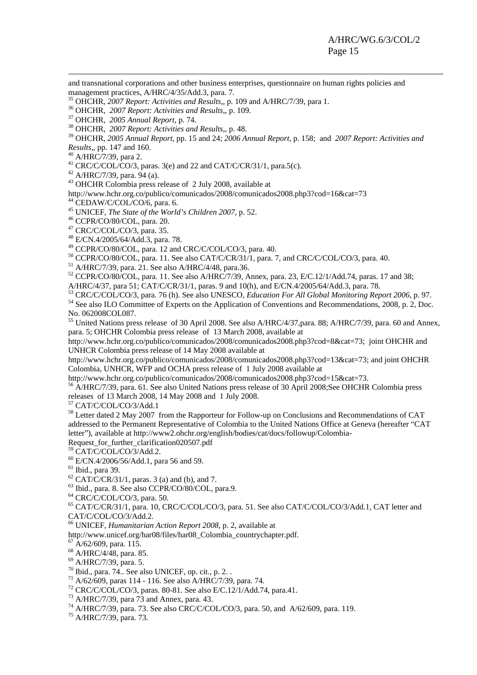and transnational corporations and other business enterprises, questionnaire on human rights policies and management practices, A/HRC/4/35/Add.3, para. 7.

<sup>35</sup> OHCHR, 2007 Report: Activities and Results,, p. 109 and A/HRC/7/39, para 1.<br><sup>36</sup> OHCHR, 2007 Report: Activities and Results,, p. 109.<br><sup>37</sup> OHCHR, 2005 Annual Report, p. 74.<br><sup>38</sup> OHCHR, 2007 Report: Activities and Res

39 OHCHR, *2005 Annual Report*, pp. 15 and 24; *2006 Annual Report*, p. 158; and *2007 Report: Activities and* 

<sup>40</sup> A/HRC/7/39, para 2.

<sup>41</sup> CRC/C/COL/CO/3, paras. 3(e) and 22 and CAT/C/CR/31/1, para.5(c). <sup>42</sup> A/HRC/7/39, para. 94 (a).

43 OHCHR Colombia press release of 2 July 2008, available at

http://www.hchr.org.co/publico/comunicados/2008/comunicados2008.php3?cod=16&cat=73

<sup>44</sup> CEDAW/C/COL/CO/6, para. 6.

<sup>45</sup> UNICEF, *The State of the World's Children 2007*, p. 52.<br><sup>46</sup> CCPR/CO/80/COL, para. 20.

47 CRC/C/COL/CO/3, para. 35.

48 E/CN.4/2005/64/Add.3, para. 78.

49 CCPR/CO/80/COL, para. 12 and CRC/C/COL/CO/3, para. 40.

<sup>50</sup> CCPR/CO/80/COL, para. 11. See also CAT/C/CR/31/1, para. 7, and CRC/C/COL/CO/3, para. 40.<br><sup>51</sup> A/HRC/7/39, para. 21. See also A/HRC/4/48, para.36.

 $52$  CCPR/CO/80/COL, para. 11. See also A/HRC/7/39, Annex, para. 23, E/C.12/1/Add.74, paras. 17 and 38;

A/HRC/4/37, para 51; CAT/C/CR/31/1, paras. 9 and 10(h), and E/CN.4/2005/64/Add.3, para. 78.

53 CRC/C/COL/CO/3, para. 76 (h). See also UNESCO, *Education For All Global Monitoring Report 2006*, p. 97.<br><sup>54</sup> See also ILO Committee of Experts on the Application of Conventions and Recommendations, 2008, p. 2, Doc.

No. 062008COL087.

<sup>55</sup> United Nations press release of 30 April 2008. See also A/HRC/4/37, para. 88; A/HRC/7/39, para. 60 and Annex, para. 5; OHCHR Colombia press release of 13 March 2008, available at

<http://www.hchr.org.co/publico/comunicados/2008/comunicados2008.php3?cod=8&cat=73>; joint OHCHR and UNHCR Colombia press release of 14 May 2008 available at

<http://www.hchr.org.co/publico/comunicados/2008/comunicados2008.php3?cod=13&cat=73>; and joint OHCHR Colombia, UNHCR, WFP and OCHA press release of 1 July 2008 available at

<http://www.hchr.org.co/publico/comunicados/2008/comunicados2008.php3?cod=15&cat=73>.<br><sup>[56](http://www.hchr.org.co/publico/comunicados/2008/comunicados2008.php3?cod=15&cat=73)</sup> A/HRC/7/39, para. 61. See also United Nations press release of 30 April 2008;See OHCHR Colombia press

releases of 13 March 2008, 14 May 2008 and 1 July 2008.

57 CAT/C/COL/CO/3/Add.1

58 Letter dated 2 May 2007 from the Rapporteur for Follow-up on Conclusions and Recommendations of CAT addressed to the Permanent Representative of Colombia to the United Nations Office at Geneva (hereafter "CAT letter"), available at http://www2.ohchr.org/english/bodies/cat/docs/followup/Colombia-

Request\_for\_further\_clarification020507.pdf

59 CAT/C/COL/CO/3/Add.2. 60 E/CN.4/2006/56/Add.1, para 56 and 59.

 $<sup>61</sup>$  Ibid., para 39.</sup>

 $62$  CAT/C/CR/31/1, paras. 3 (a) and (b), and 7.

63 Ibid., para. 8. See also CCPR/CO/80/COL, para.9.

 $64$  CRC/C/COL/CO/3, para. 50.

65 CAT/C/CR/31/1, para. 10, CRC/C/COL/CO/3, para. 51. See also CAT/C/COL/CO/3/Add.1, CAT letter and CAT/C/COL/CO/3/Add.2.

66 UNICEF, *Humanitarian Action Report 2008*, p. 2, available at

http://www.unicef.org/har08/files/har08\_Colombia\_countrychapter.pdf. 67 A/62/609, para. 115.

68 A/HRC/4/48, para. 85.

69 A/HRC/7/39, para. 5.

 $70$  Ibid., para.  $74$ .. See also UNICEF, op. cit., p. 2..

 $^{71}$  A/62/609, paras 114 - 116. See also A/HRC/7/39, para. 74.

<sup>72</sup> CRC/C/COL/CO/3, paras. 80-81. See also E/C.12/1/Add.74, para.41.<br><sup>73</sup> A/HRC/7/39, para 73 and Annex, para. 43.

74 A/HRC/7/39, para. 73. See also CRC/C/COL/CO/3, para. 50, and A/62/609, para. 119.

75 A/HRC/7/39, para. 73.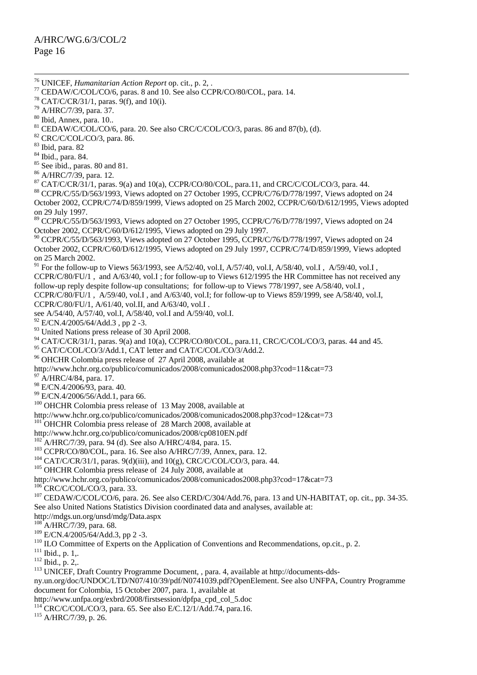<sup>114</sup> CRC/C/COL/CO/3, para. 65. See also E/C.12/1/Add.74, para.16.<br><sup>115</sup> A/HRC/7/39, p. 26.

 <sup>76</sup> UNICEF, *Humanitarian Action Report* op. cit., p. 2, . 77 CEDAW/C/COL/CO/6, paras. 8 and 10. See also CCPR/CO/80/COL, para. 14.  $78$  CAT/C/CR/31/1, paras. 9(f), and 10(i). 79 A/HRC/7/39, para. 37. 80 Ibid, Annex, para. 10.. <sup>81</sup> CEDAW/C/COL/CO/6, para. 20. See also CRC/C/COL/CO/3, paras. 86 and 87(b), (d). <sup>82</sup> CRC/C/COL/CO/3, para. 86. 83 Ibid, para. 82 84 Ibid., para. 84. <sup>85</sup> See ibid., paras. 80 and 81. 86 A/HRC/7/39, para. 12. <sup>87</sup> CAT/C/CR/31/1, paras. 9(a) and 10(a), CCPR/CO/80/COL, para.11, and CRC/C/COL/CO/3, para. 44.<br><sup>88</sup> CCPR/C/55/D/563/1993, Views adopted on 27 October 1995, CCPR/C/76/D/778/1997, Views adopted on 24 October 2002, CCPR/C/74/D/859/1999, Views adopted on 25 March 2002, CCPR/C/60/D/612/1995, Views adopted on 29 July 1997. <sup>89</sup> CCPR/C/55/D/563/1993, Views adopted on 27 October 1995, CCPR/C/76/D/778/1997, Views adopted on 24 October 2002, CCPR/C/60/D/612/1995, Views adopted on 29 July 1997. <sup>90</sup> CCPR/C/55/D/563/1993, Views adopted on 27 October 1995, CCPR/C/76/D/778/1997, Views adopted on 24 October 2002, CCPR/C/60/D/612/1995, Views adopted on 29 July 1997, CCPR/C/74/D/859/1999, Views adopted on 25 March 2002. <sup>91</sup> For the follow-up to Views 563/1993, see A/52/40, vol.I, A/57/40, vol.I, A/58/40, vol.I, A/59/40, vol.I, CCPR/C/80/FU/1 , and A/63/40, vol.I ; for follow-up to Views 612/1995 the HR Committee has not received any follow-up reply despite follow-up consultations; for follow-up to Views 778/1997, see A/58/40, vol.I , CCPR/C/80/FU/1 ,  $A/59/40$ , vol.I, and  $A/63/40$ , vol.I; for follow-up to Views 859/1999, see  $A/58/40$ , vol.I, CCPR/C/80/FU/1, A/61/40, vol.II, and A/63/40, vol.I . see A/54/40, A/57/40, vol.I, A/58/40, vol.I and A/59/40, vol.I.  $^{92}$  E/CN.4/2005/64/Add.3, pp 2 -3. <sup>93</sup> United Nations press release of 30 April 2008.  $^{94}$  CAT/C/CR/31/1, paras. 9(a) and 10(a), CCPR/CO/80/COL, para.11, CRC/C/COL/CO/3, paras. 44 and 45. <sup>95</sup> CAT/C/COL/CO/3/Add.1, CAT letter and CAT/C/COL/CO/3/Add.2.<br><sup>96</sup> OHCHR Colombia press release of 27 April 2008, available at http://www.hchr.org.co/publico/comunicados/2008/comunicados2008.php3?cod=11&cat=73 A/HRC/4/84, para. 17. 98 E/CN.4/2006/93, para. 40. 99 E/CN.4/2006/56/Add.1, para 66. <sup>100</sup> OHCHR Colombia press release of 13 May 2008, available at http://www.hchr.org.co/publico/comunicados/2008/comunicados2008.php3?cod=12&cat=73  $101$ <sup>OHCHR</sup> Colombia press release of 28 March 2008, available at http://www.hchr.org.co/publico/comunicados/2008/cp0810EN.pdf<br><sup>102</sup> A/HRC/7/39, para. 94 (d). See also A/HRC/4/84, para. 15. <sup>103</sup> CCPR/CO/80/COL, para. 16. See also A/HRC/7/39, Annex, para. 12.<br><sup>104</sup> CAT/C/CR/31/1, paras. 9(d)(iii), and 10(g), CRC/C/COL/CO/3, para. 44.<br><sup>105</sup> OHCHR Colombia press release of 24 July 2008, available at http://www.hchr.org.co/publico/comunicados/2008/comunicados2008.php3?cod=17&cat=73<br><sup>106</sup> CRC/C/COL/CO/3, para. 33.  $107$  CEDAW/C/COL/CO/6, para. 26. See also CERD/C/304/Add.76, para. 13 and UN-HABITAT, op. cit., pp. 34-35. See also United Nations Statistics Division coordinated data and analyses, available at: http://mdgs.un.org/unsd/mdg/Data.aspx  $^{108}$ A/HRC/7/39, para. 68.<br> $^{109}$  E/CN.4/2005/64/Add.3, pp 2 -3. <sup>110</sup> ILO Committee of Experts on the Application of Conventions and Recommendations, op.cit., p. 2.<br><sup>111</sup> Ibid., p. 1,.<br><sup>112</sup> Ibid., p. 2,.<br><sup>113</sup> UNICEF, Draft Country Programme Document, , para. 4, available at http://d ny.un.org/doc/UNDOC/LTD/N07/410/39/pdf/N0741039.pdf?OpenElement. See also UNFPA, Country Programme document for Colombia, 15 October 2007, para. 1, available at http://www.unfpa.org/exbrd/2008/firstsession/dpfpa\_cpd\_col\_5.doc